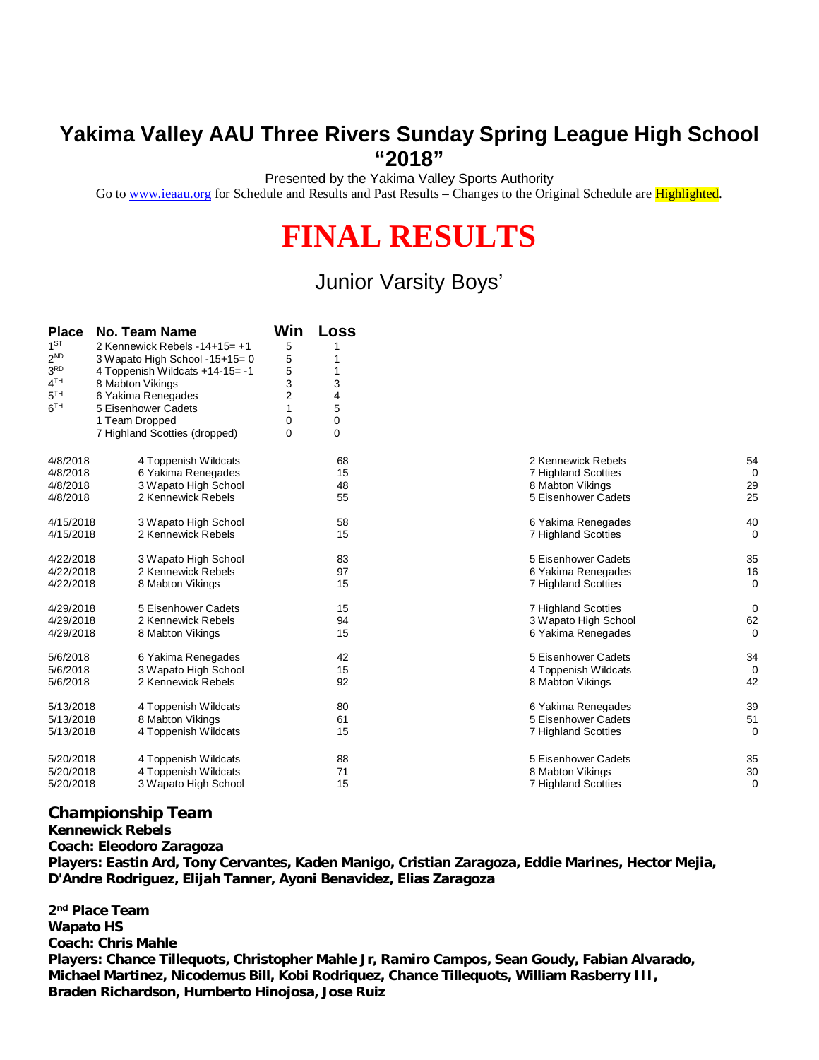## **Yakima Valley AAU Three Rivers Sunday Spring League High School "2018"**

Presented by the Yakima Valley Sports Authority

Go to [www.ieaau.org](http://www.ieaau.org) for Schedule and Results and Past Results – Changes to the Original Schedule are Highlighted.

## **FINAL RESULTS**

## Junior Varsity Boys'

| <b>Place</b>    | <b>No. Team Name</b>            | Win            | <b>Loss</b> |                            |             |
|-----------------|---------------------------------|----------------|-------------|----------------------------|-------------|
| $1^{ST}$        | 2 Kennewick Rebels -14+15= +1   | 5              |             |                            |             |
| $2^{ND}$        | 3 Wapato High School -15+15= 0  | 5              |             |                            |             |
| 3 <sup>RD</sup> | 4 Toppenish Wildcats +14-15= -1 | 5              |             |                            |             |
| 4 <sup>TH</sup> | 8 Mabton Vikings                | 3              | 3           |                            |             |
| $5^{TH}$        | 6 Yakima Renegades              | $\overline{2}$ | 4           |                            |             |
| 6 <sup>TH</sup> | 5 Eisenhower Cadets             |                | 5           |                            |             |
|                 | 1 Team Dropped                  | 0              | 0           |                            |             |
|                 | 7 Highland Scotties (dropped)   | $\mathbf 0$    | 0           |                            |             |
| 4/8/2018        | 4 Toppenish Wildcats            |                | 68          | 2 Kennewick Rebels         | 54          |
| 4/8/2018        | 6 Yakima Renegades              |                | 15          | 7 Highland Scotties        | $\mathbf 0$ |
| 4/8/2018        | 3 Wapato High School            |                | 48          | 8 Mabton Vikings           | 29          |
| 4/8/2018        | 2 Kennewick Rebels              |                | 55          | 5 Eisenhower Cadets        | 25          |
| 4/15/2018       | 3 Wapato High School            |                | 58          | 6 Yakima Renegades         | 40          |
| 4/15/2018       | 2 Kennewick Rebels              |                | 15          | <b>7 Highland Scotties</b> | 0           |
| 4/22/2018       | 3 Wapato High School            |                | 83          | 5 Eisenhower Cadets        | 35          |
| 4/22/2018       | 2 Kennewick Rebels              |                | 97          | 6 Yakima Renegades         | 16          |
| 4/22/2018       | 8 Mabton Vikings                |                | 15          | <b>7 Highland Scotties</b> | $\mathbf 0$ |
| 4/29/2018       | 5 Eisenhower Cadets             |                | 15          | 7 Highland Scotties        | $\mathbf 0$ |
| 4/29/2018       | 2 Kennewick Rebels              |                | 94          | 3 Wapato High School       | 62          |
| 4/29/2018       | 8 Mabton Vikings                |                | 15          | 6 Yakima Renegades         | $\Omega$    |
| 5/6/2018        | 6 Yakima Renegades              |                | 42          | 5 Eisenhower Cadets        | 34          |
| 5/6/2018        | 3 Wapato High School            |                | 15          | 4 Toppenish Wildcats       | $\mathbf 0$ |
| 5/6/2018        | 2 Kennewick Rebels              |                | 92          | 8 Mabton Vikings           | 42          |
| 5/13/2018       | 4 Toppenish Wildcats            |                | 80          | 6 Yakima Renegades         | 39          |
| 5/13/2018       | 8 Mabton Vikings                |                | 61          | 5 Eisenhower Cadets        | 51          |
| 5/13/2018       | 4 Toppenish Wildcats            |                | 15          | 7 Highland Scotties        | 0           |
| 5/20/2018       | 4 Toppenish Wildcats            |                | 88          | 5 Eisenhower Cadets        | 35          |
| 5/20/2018       | 4 Toppenish Wildcats            |                | 71          | 8 Mabton Vikings           | 30          |
| 5/20/2018       | 3 Wapato High School            |                | 15          | 7 Highland Scotties        | $\Omega$    |
|                 |                                 |                |             |                            |             |

## **Championship Team**

**Kennewick Rebels Coach: Eleodoro Zaragoza Players: Eastin Ard, Tony Cervantes, Kaden Manigo, Cristian Zaragoza, Eddie Marines, Hector Mejia, D'Andre Rodriguez, Elijah Tanner, Ayoni Benavidez, Elias Zaragoza**

**2 nd Place Team Wapato HS Coach: Chris Mahle Players: Chance Tillequots, Christopher Mahle Jr, Ramiro Campos, Sean Goudy, Fabian Alvarado, Michael Martinez, Nicodemus Bill, Kobi Rodriquez, Chance Tillequots, William Rasberry III, Braden Richardson, Humberto Hinojosa, Jose Ruiz**